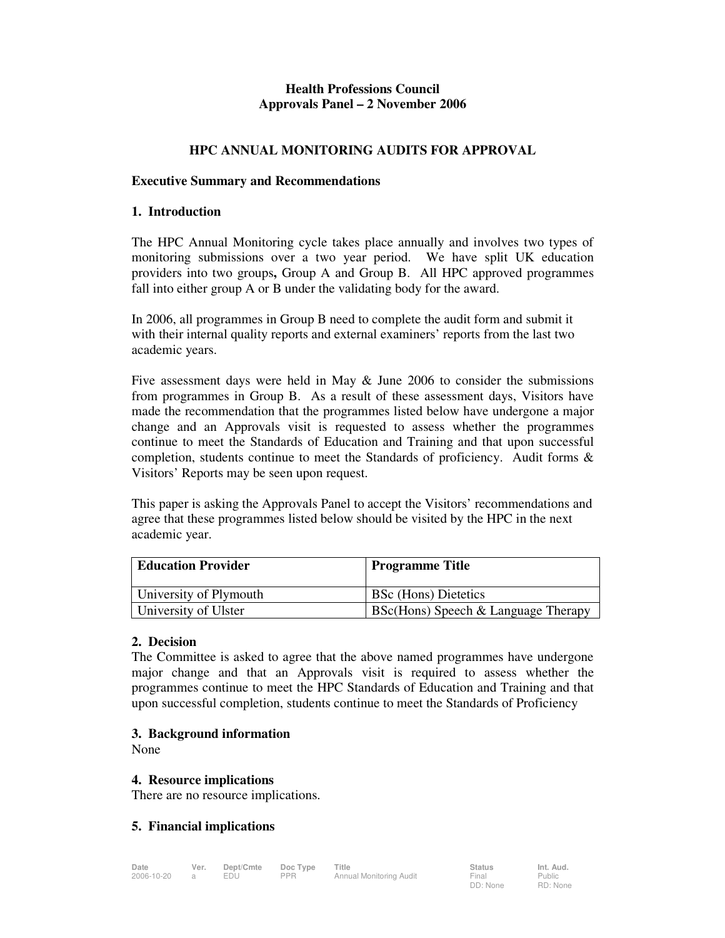# **Health Professions Council Approvals Panel – 2 November 2006**

## **HPC ANNUAL MONITORING AUDITS FOR APPROVAL**

#### **Executive Summary and Recommendations**

#### **1. Introduction**

The HPC Annual Monitoring cycle takes place annually and involves two types of monitoring submissions over a two year period. We have split UK education providers into two groups**,** Group A and Group B. All HPC approved programmes fall into either group A or B under the validating body for the award.

In 2006, all programmes in Group B need to complete the audit form and submit it with their internal quality reports and external examiners' reports from the last two academic years.

Five assessment days were held in May & June 2006 to consider the submissions from programmes in Group B. As a result of these assessment days, Visitors have made the recommendation that the programmes listed below have undergone a major change and an Approvals visit is requested to assess whether the programmes continue to meet the Standards of Education and Training and that upon successful completion, students continue to meet the Standards of proficiency. Audit forms & Visitors' Reports may be seen upon request.

This paper is asking the Approvals Panel to accept the Visitors' recommendations and agree that these programmes listed below should be visited by the HPC in the next academic year.

| <b>Education Provider</b> | <b>Programme Title</b>                |
|---------------------------|---------------------------------------|
| University of Plymouth    | <b>BSc</b> (Hons) Dietetics           |
| University of Ulster      | $BSc(Hons)$ Speech & Language Therapy |

### **2. Decision**

The Committee is asked to agree that the above named programmes have undergone major change and that an Approvals visit is required to assess whether the programmes continue to meet the HPC Standards of Education and Training and that upon successful completion, students continue to meet the Standards of Proficiency

### **3. Background information**

None

### **4. Resource implications**

There are no resource implications.

### **5. Financial implications**